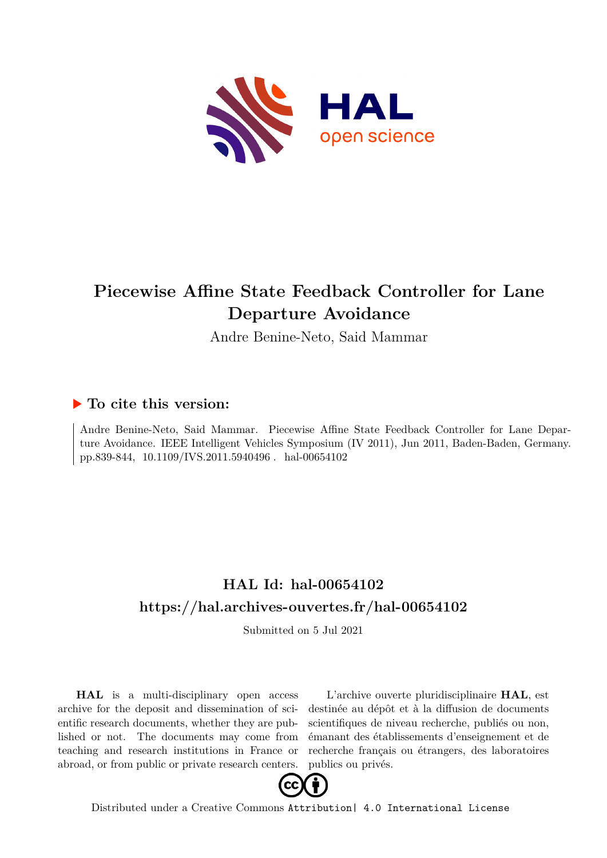

# **Piecewise Affine State Feedback Controller for Lane Departure Avoidance**

Andre Benine-Neto, Said Mammar

### **To cite this version:**

Andre Benine-Neto, Said Mammar. Piecewise Affine State Feedback Controller for Lane Departure Avoidance. IEEE Intelligent Vehicles Symposium (IV 2011), Jun 2011, Baden-Baden, Germany. pp.839-844, 10.1109/IVS.2011.5940496. hal-00654102

## **HAL Id: hal-00654102 <https://hal.archives-ouvertes.fr/hal-00654102>**

Submitted on 5 Jul 2021

**HAL** is a multi-disciplinary open access archive for the deposit and dissemination of scientific research documents, whether they are published or not. The documents may come from teaching and research institutions in France or abroad, or from public or private research centers.

L'archive ouverte pluridisciplinaire **HAL**, est destinée au dépôt et à la diffusion de documents scientifiques de niveau recherche, publiés ou non, émanant des établissements d'enseignement et de recherche français ou étrangers, des laboratoires publics ou privés.



Distributed under a Creative Commons [Attribution| 4.0 International License](http://creativecommons.org/licenses/by/4.0/)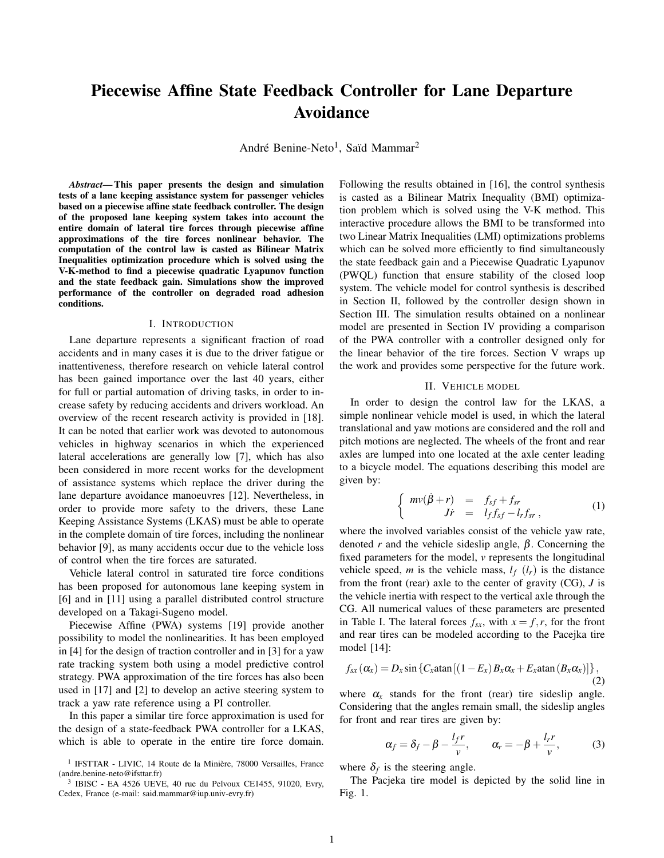## **Piecewise Affine State Feedback Controller for Lane Departure Avoidance**

André Benine-Neto<sup>1</sup>, Saïd Mammar<sup>2</sup>

*Abstract***—This paper presents the design and simulation tests of a lane keeping assistance system for passenger vehicles based on a piecewise affine state feedback controller. The design of the proposed lane keeping system takes into account the entire domain of lateral tire forces through piecewise affine approximations of the tire forces nonlinear behavior. The computation of the control law is casted as Bilinear Matrix Inequalities optimization procedure which is solved using the V-K-method to find a piecewise quadratic Lyapunov function and the state feedback gain. Simulations show the improved performance of the controller on degraded road adhesion conditions.**

#### I. INTRODUCTION

Lane departure represents a significant fraction of road accidents and in many cases it is due to the driver fatigue or inattentiveness, therefore research on vehicle lateral control has been gained importance over the last 40 years, either for full or partial automation of driving tasks, in order to increase safety by reducing accidents and drivers workload. An overview of the recent research activity is provided in [18]. It can be noted that earlier work was devoted to autonomous vehicles in highway scenarios in which the experienced lateral accelerations are generally low [7], which has also been considered in more recent works for the development of assistance systems which replace the driver during the lane departure avoidance manoeuvres [12]. Nevertheless, in order to provide more safety to the drivers, these Lane Keeping Assistance Systems (LKAS) must be able to operate in the complete domain of tire forces, including the nonlinear behavior [9], as many accidents occur due to the vehicle loss of control when the tire forces are saturated.

Vehicle lateral control in saturated tire force conditions has been proposed for autonomous lane keeping system in [6] and in [11] using a parallel distributed control structure developed on a Takagi-Sugeno model.

Piecewise Affine (PWA) systems [19] provide another possibility to model the nonlinearities. It has been employed in [4] for the design of traction controller and in [3] for a yaw rate tracking system both using a model predictive control strategy. PWA approximation of the tire forces has also been used in [17] and [2] to develop an active steering system to track a yaw rate reference using a PI controller.

In this paper a similar tire force approximation is used for the design of a state-feedback PWA controller for a LKAS, which is able to operate in the entire tire force domain. Following the results obtained in [16], the control synthesis is casted as a Bilinear Matrix Inequality (BMI) optimization problem which is solved using the V-K method. This interactive procedure allows the BMI to be transformed into two Linear Matrix Inequalities (LMI) optimizations problems which can be solved more efficiently to find simultaneously the state feedback gain and a Piecewise Quadratic Lyapunov (PWQL) function that ensure stability of the closed loop system. The vehicle model for control synthesis is described in Section II, followed by the controller design shown in Section III. The simulation results obtained on a nonlinear model are presented in Section IV providing a comparison of the PWA controller with a controller designed only for the linear behavior of the tire forces. Section V wraps up the work and provides some perspective for the future work.

#### II. VEHICLE MODEL

In order to design the control law for the LKAS, a simple nonlinear vehicle model is used, in which the lateral translational and yaw motions are considered and the roll and pitch motions are neglected. The wheels of the front and rear axles are lumped into one located at the axle center leading to a bicycle model. The equations describing this model are given by:

$$
\begin{cases}\n m v (\dot{\beta} + r) & = f_{sf} + f_{sr} \\
 J \dot{r} & = l_f f_{sf} - l_r f_{sr}\n\end{cases} (1)
$$

where the involved variables consist of the vehicle yaw rate, denoted *r* and the vehicle sideslip angle,  $\beta$ . Concerning the fixed parameters for the model, *v* represents the longitudinal vehicle speed, *m* is the vehicle mass,  $l_f$  ( $l_f$ ) is the distance from the front (rear) axle to the center of gravity (CG), *J* is the vehicle inertia with respect to the vertical axle through the CG. All numerical values of these parameters are presented in Table I. The lateral forces  $f_{sx}$ , with  $x = f, r$ , for the front and rear tires can be modeled according to the Pacejka tire model [14]:

$$
f_{sx}(\alpha_x) = D_x \sin \left\{ C_x \tan \left[ \left( 1 - E_x \right) B_x \alpha_x + E_x \tan \left( B_x \alpha_x \right) \right] \right\},\tag{2}
$$

where  $\alpha_x$  stands for the front (rear) tire sideslip angle. Considering that the angles remain small, the sideslip angles for front and rear tires are given by:

$$
\alpha_f = \delta_f - \beta - \frac{l_f r}{v}, \qquad \alpha_r = -\beta + \frac{l_r r}{v}, \qquad (3)
$$

where  $\delta_f$  is the steering angle.

The Pacjeka tire model is depicted by the solid line in Fig. 1.

<sup>&</sup>lt;sup>1</sup> IFSTTAR - LIVIC, 14 Route de la Minière, 78000 Versailles, France (andre.benine-neto@ifsttar.fr)

<sup>3</sup> IBISC - EA 4526 UEVE, 40 rue du Pelvoux CE1455, 91020, Evry, Cedex, France (e-mail: said.mammar@iup.univ-evry.fr)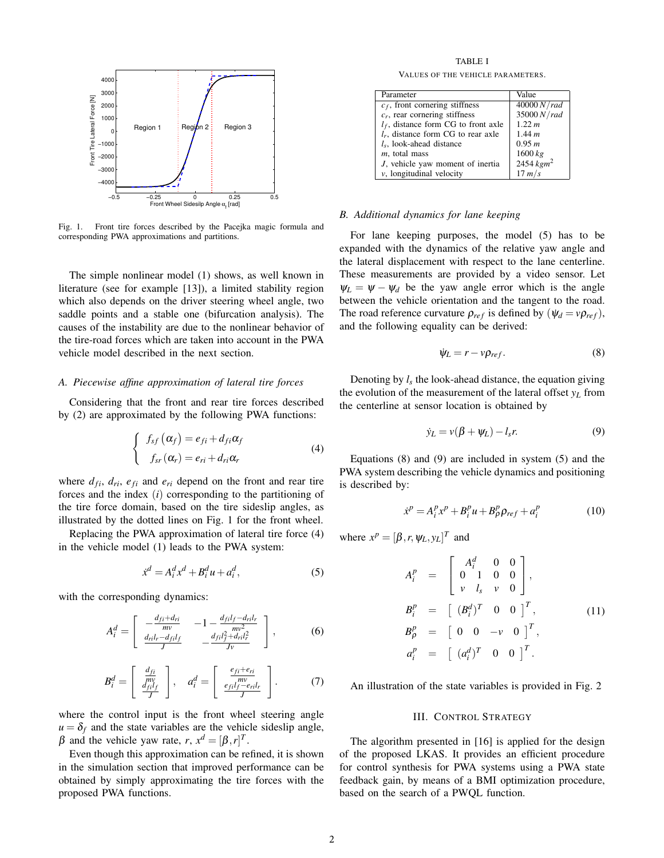

Fig. 1. Front tire forces described by the Pacejka magic formula and corresponding PWA approximations and partitions.

The simple nonlinear model (1) shows, as well known in literature (see for example [13]), a limited stability region which also depends on the driver steering wheel angle, two saddle points and a stable one (bifurcation analysis). The causes of the instability are due to the nonlinear behavior of the tire-road forces which are taken into account in the PWA vehicle model described in the next section.

#### *A. Piecewise affine approximation of lateral tire forces*

Considering that the front and rear tire forces described by (2) are approximated by the following PWA functions:

$$
\begin{cases}\nf_{sf}(\alpha_f) = e_{fi} + d_{fi}\alpha_f \\
f_{sr}(\alpha_r) = e_{ri} + d_{ri}\alpha_r\n\end{cases}
$$
\n(4)

where  $d_{fi}$ ,  $d_{ri}$ ,  $e_{fi}$  and  $e_{ri}$  depend on the front and rear tire forces and the index (*i*) corresponding to the partitioning of the tire force domain, based on the tire sideslip angles, as illustrated by the dotted lines on Fig. 1 for the front wheel.

Replacing the PWA approximation of lateral tire force (4) in the vehicle model (1) leads to the PWA system:

$$
\dot{x}^d = A_i^d x^d + B_i^d u + a_i^d,\tag{5}
$$

with the corresponding dynamics:

$$
A_i^d = \begin{bmatrix} -\frac{d_{fi} + d_{ri}}{mv} & -1 - \frac{d_{fil} - d_{ril}}{mv^2} \\ \frac{d_{ri}l_r - d_{fil}}{J} & -\frac{d_{fil}^2 + d_{ril}^2}{Jv} \end{bmatrix},
$$
(6)

$$
B_i^d = \left[ \begin{array}{c} \frac{d_{fi}}{mv} \\ \frac{d_{fi}^r}{J} \end{array} \right], \quad a_i^d = \left[ \begin{array}{c} \frac{e_{fi} + e_{ri}}{mv} \\ \frac{e_{fil}f - e_{ri}l_r}{J} \end{array} \right].
$$
 (7)

where the control input is the front wheel steering angle  $u = \delta_f$  and the state variables are the vehicle sideslip angle, β and the vehicle yaw rate,  $r, x<sup>d</sup> = [\beta, r]<sup>T</sup>$ .

Even though this approximation can be refined, it is shown in the simulation section that improved performance can be obtained by simply approximating the tire forces with the proposed PWA functions.

TABLE I

VALUES OF THE VEHICLE PARAMETERS.

| Parameter                              | Value        |
|----------------------------------------|--------------|
| $c_f$ , front cornering stiffness      | 40000 N/rad  |
| $c_r$ , rear cornering stiffness       | 35000 N/rad  |
| $l_f$ , distance form CG to front axle | 1.22 m       |
| $l_r$ , distance form CG to rear axle  | 1.44 m       |
| $l_s$ , look-ahead distance            | 0.95 m       |
| $m$ , total mass                       | 1600 kg      |
| J, vehicle yaw moment of inertia       | 2454 $kgm^2$ |
| $\nu$ , longitudinal velocity          | $17 \, m/s$  |

#### *B. Additional dynamics for lane keeping*

For lane keeping purposes, the model (5) has to be expanded with the dynamics of the relative yaw angle and the lateral displacement with respect to the lane centerline. These measurements are provided by a video sensor. Let  $\Psi_L = \Psi - \Psi_d$  be the yaw angle error which is the angle between the vehicle orientation and the tangent to the road. The road reference curvature  $\rho_{ref}$  is defined by  $(\psi_d = v \rho_{ref}),$ and the following equality can be derived:

$$
\dot{\psi}_L = r - \nu \rho_{ref}.\tag{8}
$$

Denoting by  $l_s$  the look-ahead distance, the equation giving the evolution of the measurement of the lateral offset *y<sup>L</sup>* from the centerline at sensor location is obtained by

$$
\dot{y}_L = v(\beta + \psi_L) - l_s r. \tag{9}
$$

Equations (8) and (9) are included in system (5) and the PWA system describing the vehicle dynamics and positioning is described by:

$$
\dot{x}^p = A_i^p x^p + B_i^p u + B_p^p \rho_{ref} + a_i^p \tag{10}
$$

where  $x^p = [\beta, r, \psi_L, y_L]^T$  and

$$
A_i^p = \begin{bmatrix} A_i^d & 0 & 0 \\ 0 & 1 & 0 & 0 \\ v & l_s & v & 0 \end{bmatrix},
$$
  
\n
$$
B_i^p = \begin{bmatrix} (B_i^d)^T & 0 & 0 \end{bmatrix}^T,
$$
  
\n
$$
B_p^p = \begin{bmatrix} 0 & 0 & -v & 0 \end{bmatrix}^T,
$$
  
\n
$$
a_i^p = \begin{bmatrix} (a_i^d)^T & 0 & 0 \end{bmatrix}^T.
$$
 (11)

An illustration of the state variables is provided in Fig. 2

#### III. CONTROL STRATEGY

The algorithm presented in [16] is applied for the design of the proposed LKAS. It provides an efficient procedure for control synthesis for PWA systems using a PWA state feedback gain, by means of a BMI optimization procedure, based on the search of a PWQL function.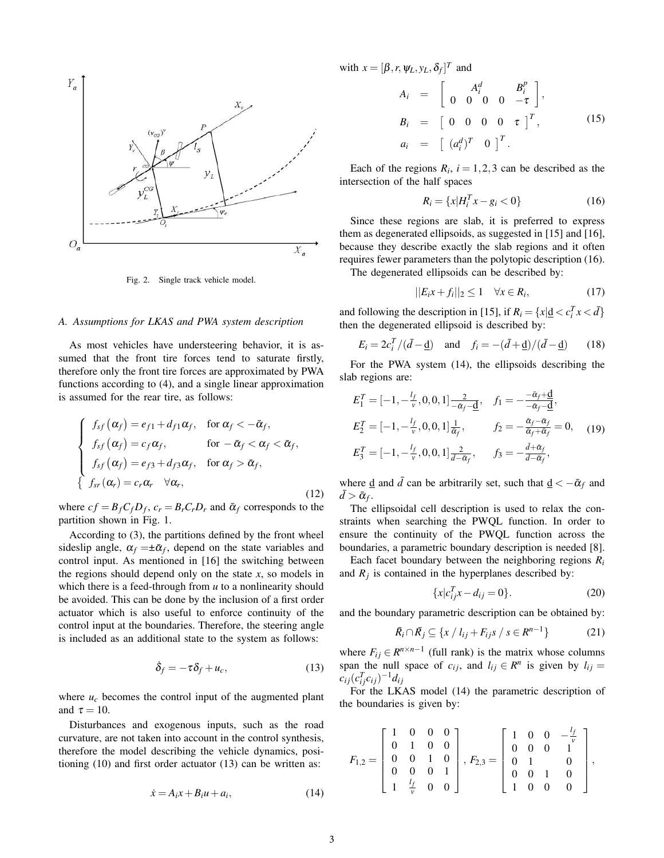

Fig. 2. Single track vehicle model.

#### *A. Assumptions for LKAS and PWA system description*

As most vehicles have understeering behavior, it is assumed that the front tire forces tend to saturate firstly, therefore only the front tire forces are approximated by PWA functions according to (4), and a single linear approximation is assumed for the rear tire, as follows:

$$
\begin{cases}\nf_{sf}(\alpha_f) = e_{f1} + d_{f1}\alpha_f, & \text{for } \alpha_f < -\bar{\alpha}_f, \\
f_{sf}(\alpha_f) = c_f\alpha_f, & \text{for } -\bar{\alpha}_f < \alpha_f < \bar{\alpha}_f, \\
f_{sf}(\alpha_f) = e_{f3} + d_{f3}\alpha_f, & \text{for } \alpha_f > \bar{\alpha}_f, \\
f_{sr}(\alpha_r) = c_r\alpha_r \quad \forall \alpha_r,\n\end{cases}
$$
\n(12)

where  $cf = B_f C_f D_f$ ,  $c_r = B_r C_r D_r$  and  $\bar{\alpha}_f$  corresponds to the partition shown in Fig. 1.

According to (3), the partitions defined by the front wheel sideslip angle,  $\alpha_f = \pm \bar{\alpha}_f$ , depend on the state variables and control input. As mentioned in [16] the switching between the regions should depend only on the state *x*, so models in which there is a feed-through from *u* to a nonlinearity should be avoided. This can be done by the inclusion of a first order actuator which is also useful to enforce continuity of the control input at the boundaries. Therefore, the steering angle is included as an additional state to the system as follows:

$$
\dot{\delta}_f = -\tau \delta_f + u_c, \tag{13}
$$

where  $u_c$  becomes the control input of the augmented plant and  $\tau = 10$ .

Disturbances and exogenous inputs, such as the road curvature, are not taken into account in the control synthesis, therefore the model describing the vehicle dynamics, positioning (10) and first order actuator (13) can be written as:

$$
\dot{x} = A_i x + B_i u + a_i,\tag{14}
$$

with 
$$
x = [\beta, r, \psi_L, y_L, \delta_f]^T
$$
 and  
\n
$$
A_i = \begin{bmatrix} A_i^d & B_i^p \\ 0 & 0 & 0 & -\tau \end{bmatrix},
$$
\n
$$
B_i = \begin{bmatrix} 0 & 0 & 0 & 0 & \tau \end{bmatrix}^T,
$$
\n
$$
a_i = \begin{bmatrix} (a_i^d)^T & 0 \end{bmatrix}^T.
$$
\n(15)

Each of the regions  $R_i$ ,  $i = 1, 2, 3$  can be described as the intersection of the half spaces

$$
R_i = \{x | H_i^T x - g_i < 0\} \tag{16}
$$

Since these regions are slab, it is preferred to express them as degenerated ellipsoids, as suggested in [15] and [16], because they describe exactly the slab regions and it often requires fewer parameters than the polytopic description (16).

The degenerated ellipsoids can be described by:

$$
||E_i x + f_i||_2 \le 1 \quad \forall x \in R_i,
$$
\n(17)

and following the description in [15], if  $R_i = \{x | \underline{d} < c_i^T x < \overline{d}\}$ then the degenerated ellipsoid is described by:

$$
E_i = 2c_i^T / (\bar{d} - \underline{d}) \quad \text{and} \quad f_i = -(\bar{d} + \underline{d}) / (\bar{d} - \underline{d}) \tag{18}
$$

For the PWA system (14), the ellipsoids describing the slab regions are:

$$
E_1^T = [-1, -\frac{l_f}{v}, 0, 0, 1] \frac{2}{-\bar{\alpha}_f - \underline{d}}, \quad f_1 = -\frac{-\bar{\alpha}_f + \underline{d}}{-\bar{\alpha}_f - \underline{d}},
$$
  
\n
$$
E_2^T = [-1, -\frac{l_f}{v}, 0, 0, 1] \frac{1}{\bar{\alpha}_f}, \qquad f_2 = -\frac{\bar{\alpha}_f - \bar{\alpha}_f}{\bar{\alpha}_f + \bar{\alpha}_f} = 0, \quad (19)
$$
  
\n
$$
E_3^T = [-1, -\frac{l_f}{v}, 0, 0, 1] \frac{2}{\bar{d} - \bar{\alpha}_f}, \qquad f_3 = -\frac{\bar{d} + \bar{\alpha}_f}{\bar{d} - \bar{\alpha}_f},
$$

where <u>d</u> and  $\bar{d}$  can be arbitrarily set, such that  $\underline{d} < -\bar{\alpha}_f$  and  $\bar{d} > \bar{\alpha}_f$ .

The ellipsoidal cell description is used to relax the constraints when searching the PWQL function. In order to ensure the continuity of the PWQL function across the boundaries, a parametric boundary description is needed [8].

Each facet boundary between the neighboring regions  $R_i$ and  $R_j$  is contained in the hyperplanes described by:

$$
\{x|c_{ij}^T x - d_{ij} = 0\}.
$$
 (20)

and the boundary parametric description can be obtained by:

$$
\bar{R}_i \cap \bar{R}_j \subseteq \{x \mid l_{ij} + F_{ij} s \mid s \in R^{n-1}\}\tag{21}
$$

where  $F_{ij} \in R^{n \times n-1}$  (full rank) is the matrix whose columns span the null space of  $c_{ij}$ , and  $l_{ij} \in R^n$  is given by  $l_{ij} =$  $c_{ij} (c_{ij}^T c_{ij})^{-1} d_{ij}$ 

For the LKAS model (14) the parametric description of the boundaries is given by:

$$
F_{1,2} = \left[\begin{array}{cccc} 1 & 0 & 0 & 0 \\ 0 & 1 & 0 & 0 \\ 0 & 0 & 1 & 0 \\ 0 & 0 & 0 & 1 \\ 1 & \frac{l_f}{\nu} & 0 & 0 \end{array}\right], F_{2,3} = \left[\begin{array}{cccc} 1 & 0 & 0 & -\frac{l_f}{\nu} \\ 0 & 0 & 0 & 1 \\ 0 & 1 & 0 \\ 0 & 0 & 1 & 0 \\ 1 & 0 & 0 & 0 \end{array}\right],
$$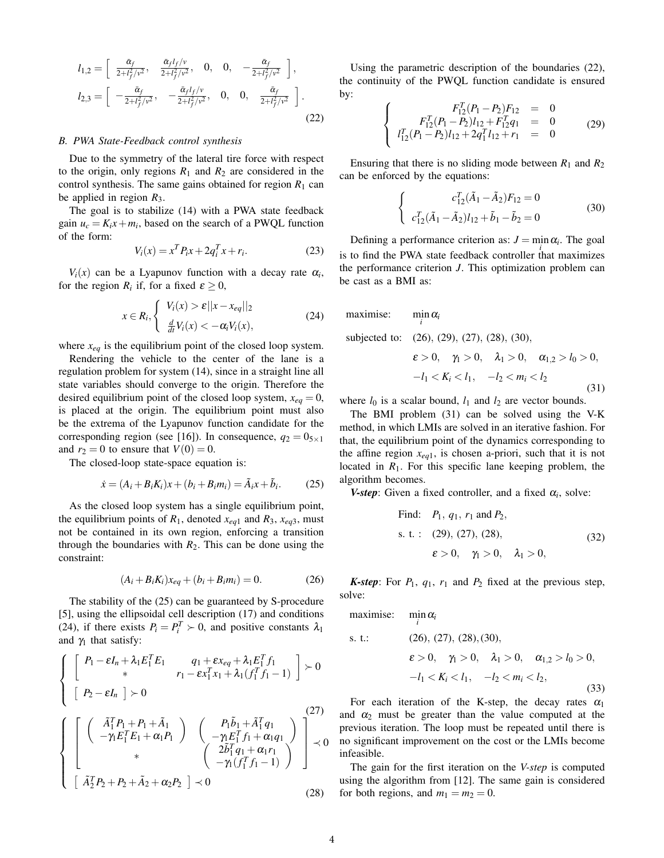$$
l_{1,2} = \begin{bmatrix} \frac{\tilde{\alpha}_f}{2 + l_f^2/\nu^2}, & \frac{\tilde{\alpha}_f l_f/\nu}{2 + l_f^2/\nu^2}, & 0, & 0, & -\frac{\tilde{\alpha}_f}{2 + l_f^2/\nu^2} \end{bmatrix},
$$
  
\n
$$
l_{2,3} = \begin{bmatrix} -\frac{\tilde{\alpha}_f}{2 + l_f^2/\nu^2}, & -\frac{\tilde{\alpha}_f l_f/\nu}{2 + l_f^2/\nu^2}, & 0, & 0, & \frac{\tilde{\alpha}_f}{2 + l_f^2/\nu^2} \end{bmatrix}.
$$
\n(22)

#### *B. PWA State-Feedback control synthesis*

Due to the symmetry of the lateral tire force with respect to the origin, only regions  $R_1$  and  $R_2$  are considered in the control synthesis. The same gains obtained for region  $R_1$  can be applied in region *R*3.

The goal is to stabilize (14) with a PWA state feedback gain  $u_c = K_i x + m_i$ , based on the search of a PWQL function of the form:

$$
V_i(x) = x^T P_i x + 2q_i^T x + r_i.
$$
 (23)

 $V_i(x)$  can be a Lyapunov function with a decay rate  $\alpha_i$ , for the region  $R_i$  if, for a fixed  $\varepsilon \geq 0$ ,

$$
x \in R_i, \begin{cases} V_i(x) > \varepsilon ||x - x_{eq}||_2\\ \frac{d}{dt} V_i(x) < -\alpha_i V_i(x), \end{cases} \tag{24}
$$

where *xeq* is the equilibrium point of the closed loop system.

Rendering the vehicle to the center of the lane is a regulation problem for system (14), since in a straight line all state variables should converge to the origin. Therefore the desired equilibrium point of the closed loop system,  $x_{eq} = 0$ , is placed at the origin. The equilibrium point must also be the extrema of the Lyapunov function candidate for the corresponding region (see [16]). In consequence,  $q_2 = 0_{5 \times 1}$ and  $r_2 = 0$  to ensure that  $V(0) = 0$ .

The closed-loop state-space equation is:

$$
\dot{x} = (A_i + B_i K_i)x + (b_i + B_i m_i) = \tilde{A}_i x + \tilde{b}_i.
$$
 (25)

As the closed loop system has a single equilibrium point, the equilibrium points of  $R_1$ , denoted  $x_{eq1}$  and  $R_3$ ,  $x_{eq3}$ , must not be contained in its own region, enforcing a transition through the boundaries with  $R_2$ . This can be done using the constraint:

$$
(A_i + B_i K_i)x_{eq} + (b_i + B_i m_i) = 0.
$$
 (26)

The stability of the (25) can be guaranteed by S-procedure [5], using the ellipsoidal cell description (17) and conditions (24), if there exists  $P_i = P_i^T \succ 0$ , and positive constants  $\lambda_1$ and  $\gamma_1$  that satisfy:

$$
\begin{cases}\n\begin{bmatrix}\nP_1 - \varepsilon I_n + \lambda_1 E_1^T E_1 & q_1 + \varepsilon x_{eq} + \lambda_1 E_1^T f_1 \\
\ast & r_1 - \varepsilon x_1^T x_1 + \lambda_1 (f_1^T f_1 - 1) \end{bmatrix} \rangle 0 \\
\begin{bmatrix}\nP_2 - \varepsilon I_n\n\end{bmatrix} \rangle 0\n\end{cases}
$$
\n
$$
\begin{cases}\n\begin{bmatrix}\n\lambda_1^T P_1 + P_1 + \tilde{A}_1 \\
-\gamma_1 E_1^T E_1 + \alpha_1 P_1\n\end{bmatrix} & \begin{bmatrix}\nP_1 \tilde{b}_1 + \tilde{A}_1^T q_1 \\
-\gamma_1 E_1^T f_1 + \alpha_1 q_1\n\end{bmatrix} \rangle\n\end{cases}
$$
\n
$$
\begin{cases}\n\lambda_1^T P_2 + P_2 + \tilde{A}_2 + \alpha_2 P_2\n\end{cases} \rangle \prec 0
$$
\n(28)

Using the parametric description of the boundaries (22), the continuity of the PWQL function candidate is ensured by:

$$
\begin{cases}\nF_{12}^T(P_1 - P_2)F_{12} = 0 \\
F_{12}^T(P_1 - P_2)I_{12} + F_{12}^T q_1 = 0 \\
I_{12}^T(P_1 - P_2)I_{12} + 2q_1^T I_{12} + r_1 = 0\n\end{cases}
$$
\n(29)

Ensuring that there is no sliding mode between  $R_1$  and  $R_2$ can be enforced by the equations:

$$
\begin{cases}\nc_{12}^T(\tilde{A}_1 - \tilde{A}_2)F_{12} = 0 \\
c_{12}^T(\tilde{A}_1 - \tilde{A}_2)l_{12} + \tilde{b}_1 - \tilde{b}_2 = 0\n\end{cases}
$$
\n(30)

Defining a performance criterion as:  $J = \min \alpha_i$ . The goal is to find the PWA state feedback controller that maximizes the performance criterion *J*. This optimization problem can be cast as a BMI as:

maximise: 
$$
\min_{i} \alpha_{i}
$$
  
subjected to: (26), (29), (27), (28), (30),  

$$
\varepsilon > 0, \quad \gamma_{1} > 0, \quad \lambda_{1} > 0, \quad \alpha_{1,2} > l_{0} > 0,
$$

$$
-l_{1} < K_{i} < l_{1}, \quad -l_{2} < m_{i} < l_{2}
$$
(31)

where  $l_0$  is a scalar bound,  $l_1$  and  $l_2$  are vector bounds.

The BMI problem (31) can be solved using the V-K method, in which LMIs are solved in an iterative fashion. For that, the equilibrium point of the dynamics corresponding to the affine region  $x_{eq1}$ , is chosen a-priori, such that it is not located in  $R_1$ . For this specific lane keeping problem, the algorithm becomes.

*V-step*: Given a fixed controller, and a fixed  $\alpha_i$ , solve:

Find: 
$$
P_1
$$
,  $q_1$ ,  $r_1$  and  $P_2$ ,  
s. t. : (29), (27), (28),  
 $\varepsilon > 0$ ,  $\gamma_1 > 0$ ,  $\lambda_1 > 0$ , (32)

*K*-step: For  $P_1$ ,  $q_1$ ,  $r_1$  and  $P_2$  fixed at the previous step, solve:

maximise: *i* α*i*

s. t.:   
(26), (27), (28), (30),  

$$
\varepsilon > 0, \quad \gamma_1 > 0, \quad \lambda_1 > 0, \quad \alpha_{1,2} > l_0 > 0,
$$

$$
-l_1 < K_i < l_1, \quad -l_2 < m_i < l_2,
$$
(33)

For each iteration of the K-step, the decay rates  $\alpha_1$ and  $\alpha_2$  must be greater than the value computed at the previous iteration. The loop must be repeated until there is no significant improvement on the cost or the LMIs become infeasible.

The gain for the first iteration on the *V-step* is computed using the algorithm from [12]. The same gain is considered for both regions, and  $m_1 = m_2 = 0$ .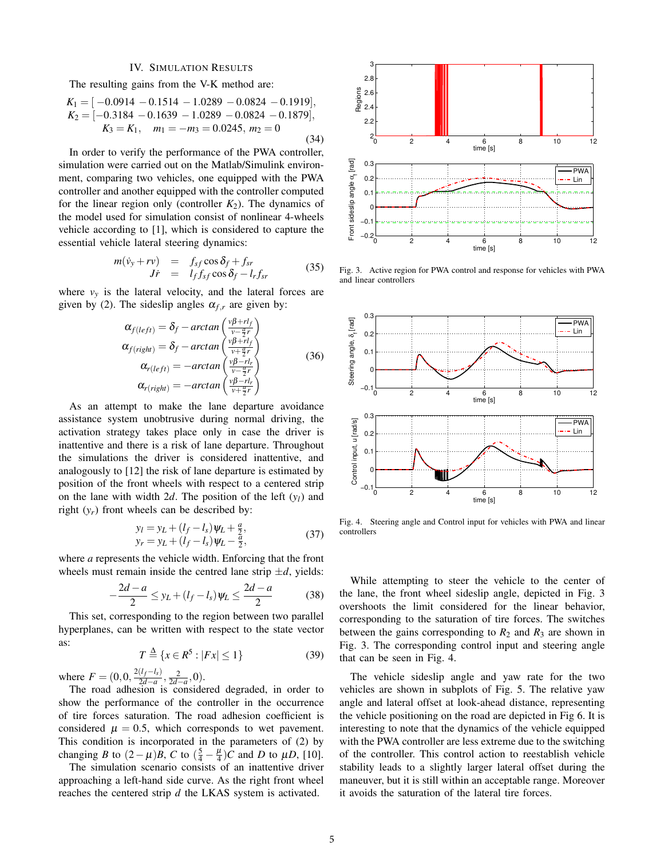#### IV. SIMULATION RESULTS

The resulting gains from the V-K method are:

$$
K_1 = [-0.0914 - 0.1514 - 1.0289 - 0.0824 - 0.1919],
$$
  
\n
$$
K_2 = [-0.3184 - 0.1639 - 1.0289 - 0.0824 - 0.1879],
$$
  
\n
$$
K_3 = K_1, \quad m_1 = -m_3 = 0.0245, \ m_2 = 0
$$
\n(34)

In order to verify the performance of the PWA controller, simulation were carried out on the Matlab/Simulink environment, comparing two vehicles, one equipped with the PWA controller and another equipped with the controller computed for the linear region only (controller  $K_2$ ). The dynamics of the model used for simulation consist of nonlinear 4-wheels vehicle according to [1], which is considered to capture the essential vehicle lateral steering dynamics:

$$
m(\dot{v}_y + r v) = f_{sf} \cos \delta_f + f_{sr} J\dot{r} = l_f f_{sf} \cos \delta_f - l_r f_{sr}
$$
 (35)

where  $v_y$  is the lateral velocity, and the lateral forces are given by (2). The sideslip angles  $\alpha_{f,r}$  are given by:

$$
\alpha_{f(left)} = \delta_f - \arctan\left(\frac{v\beta + rl_f}{v - \frac{q}{2}r}\right)
$$
  
\n
$$
\alpha_{f(right)} = \delta_f - \arctan\left(\frac{v\beta + rl_f}{v + \frac{q}{2}r}\right)
$$
  
\n
$$
\alpha_{r(left)} = -\arctan\left(\frac{v\beta - rl_f}{v - \frac{q}{2}r}\right)
$$
  
\n
$$
\alpha_{r(right)} = -\arctan\left(\frac{v\beta - rl_f}{v + \frac{q}{2}r}\right)
$$
\n(36)

As an attempt to make the lane departure avoidance assistance system unobtrusive during normal driving, the activation strategy takes place only in case the driver is inattentive and there is a risk of lane departure. Throughout the simulations the driver is considered inattentive, and analogously to [12] the risk of lane departure is estimated by position of the front wheels with respect to a centered strip on the lane with width 2*d*. The position of the left  $(y_l)$  and right  $(y_r)$  front wheels can be described by:

$$
y_l = y_L + (l_f - l_s)\psi_L + \frac{a}{2}, \n y_r = y_L + (l_f - l_s)\psi_L - \frac{a}{2},
$$
\n(37)

where *a* represents the vehicle width. Enforcing that the front wheels must remain inside the centred lane strip  $\pm d$ , yields:

$$
-\frac{2d-a}{2} \le y_L + (l_f - l_s)\psi_L \le \frac{2d-a}{2}
$$
 (38)

This set, corresponding to the region between two parallel hyperplanes, can be written with respect to the state vector as:

$$
T \stackrel{\Delta}{=} \{x \in R^5 : |Fx| \le 1\}
$$
 (39)

where  $F = (0, 0, \frac{2(l_f - l_s)}{2d - a})$  $\frac{(l_f - l_s)}{2d - a}, \frac{2}{2d - a}, 0).$ 

The road adhesion is considered degraded, in order to show the performance of the controller in the occurrence of tire forces saturation. The road adhesion coefficient is considered  $\mu = 0.5$ , which corresponds to wet pavement. This condition is incorporated in the parameters of (2) by changing *B* to  $(2 - \mu)B$ , *C* to  $(\frac{5}{4} - \frac{\mu}{4})C$  and *D* to  $\mu D$ , [10].

The simulation scenario consists of an inattentive driver approaching a left-hand side curve. As the right front wheel reaches the centered strip *d* the LKAS system is activated.



Fig. 3. Active region for PWA control and response for vehicles with PWA and linear controllers



Fig. 4. Steering angle and Control input for vehicles with PWA and linear controllers

While attempting to steer the vehicle to the center of the lane, the front wheel sideslip angle, depicted in Fig. 3 overshoots the limit considered for the linear behavior, corresponding to the saturation of tire forces. The switches between the gains corresponding to  $R_2$  and  $R_3$  are shown in Fig. 3. The corresponding control input and steering angle that can be seen in Fig. 4.

The vehicle sideslip angle and yaw rate for the two vehicles are shown in subplots of Fig. 5. The relative yaw angle and lateral offset at look-ahead distance, representing the vehicle positioning on the road are depicted in Fig 6. It is interesting to note that the dynamics of the vehicle equipped with the PWA controller are less extreme due to the switching of the controller. This control action to reestablish vehicle stability leads to a slightly larger lateral offset during the maneuver, but it is still within an acceptable range. Moreover it avoids the saturation of the lateral tire forces.